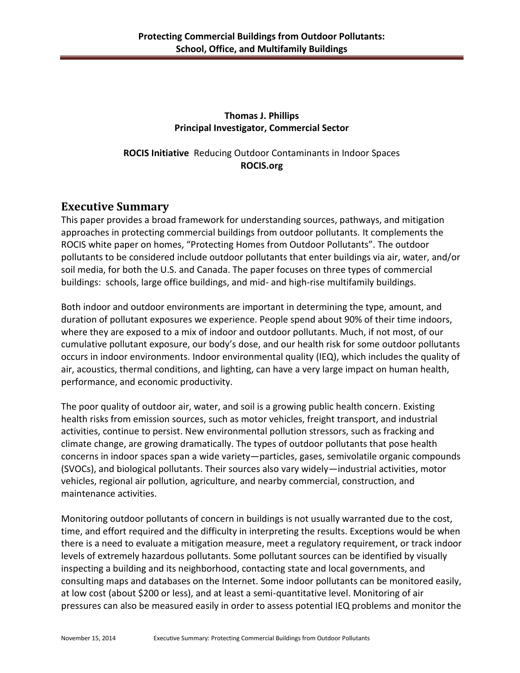## **Thomas J. Phillips Principal Investigator, Commercial Sector**

**ROCIS Initiative** Reducing Outdoor Contaminants in Indoor Spaces **ROCIS.org**

## **Executive Summary**

This paper provides a broad framework for understanding sources, pathways, and mitigation approaches in protecting commercial buildings from outdoor pollutants. It complements the ROCIS white paper on homes, "Protecting Homes from Outdoor Pollutants". The outdoor pollutants to be considered include outdoor pollutants that enter buildings via air, water, and/or soil media, for both the U.S. and Canada. The paper focuses on three types of commercial buildings: schools, large office buildings, and mid- and high-rise multifamily buildings.

Both indoor and outdoor environments are important in determining the type, amount, and duration of pollutant exposures we experience. People spend about 90% of their time indoors, where they are exposed to a mix of indoor and outdoor pollutants. Much, if not most, of our cumulative pollutant exposure, our body's dose, and our health risk for some outdoor pollutants occurs in indoor environments. Indoor environmental quality (IEQ), which includes the quality of air, acoustics, thermal conditions, and lighting, can have a very large impact on human health, performance, and economic productivity.

The poor quality of outdoor air, water, and soil is a growing public health concern. Existing health risks from emission sources, such as motor vehicles, freight transport, and industrial activities, continue to persist. New environmental pollution stressors, such as fracking and climate change, are growing dramatically. The types of outdoor pollutants that pose health concerns in indoor spaces span a wide variety—particles, gases, semivolatile organic compounds (SVOCs), and biological pollutants. Their sources also vary widely—industrial activities, motor vehicles, regional air pollution, agriculture, and nearby commercial, construction, and maintenance activities.

Monitoring outdoor pollutants of concern in buildings is not usually warranted due to the cost, time, and effort required and the difficulty in interpreting the results. Exceptions would be when there is a need to evaluate a mitigation measure, meet a regulatory requirement, or track indoor levels of extremely hazardous pollutants. Some pollutant sources can be identified by visually inspecting a building and its neighborhood, contacting state and local governments, and consulting maps and databases on the Internet. Some indoor pollutants can be monitored easily, at low cost (about \$200 or less), and at least a semi-quantitative level. Monitoring of air pressures can also be measured easily in order to assess potential IEQ problems and monitor the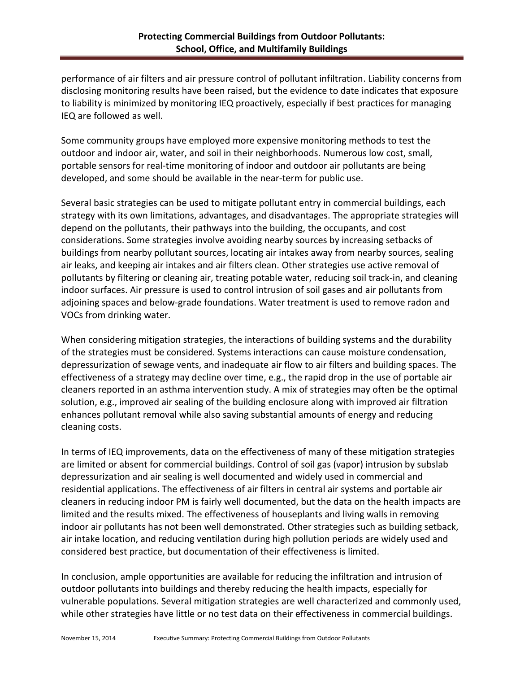performance of air filters and air pressure control of pollutant infiltration. Liability concerns from disclosing monitoring results have been raised, but the evidence to date indicates that exposure to liability is minimized by monitoring IEQ proactively, especially if best practices for managing IEQ are followed as well.

Some community groups have employed more expensive monitoring methods to test the outdoor and indoor air, water, and soil in their neighborhoods. Numerous low cost, small, portable sensors for real-time monitoring of indoor and outdoor air pollutants are being developed, and some should be available in the near-term for public use.

Several basic strategies can be used to mitigate pollutant entry in commercial buildings, each strategy with its own limitations, advantages, and disadvantages. The appropriate strategies will depend on the pollutants, their pathways into the building, the occupants, and cost considerations. Some strategies involve avoiding nearby sources by increasing setbacks of buildings from nearby pollutant sources, locating air intakes away from nearby sources, sealing air leaks, and keeping air intakes and air filters clean. Other strategies use active removal of pollutants by filtering or cleaning air, treating potable water, reducing soil track-in, and cleaning indoor surfaces. Air pressure is used to control intrusion of soil gases and air pollutants from adjoining spaces and below-grade foundations. Water treatment is used to remove radon and VOCs from drinking water.

When considering mitigation strategies, the interactions of building systems and the durability of the strategies must be considered. Systems interactions can cause moisture condensation, depressurization of sewage vents, and inadequate air flow to air filters and building spaces. The effectiveness of a strategy may decline over time, e.g., the rapid drop in the use of portable air cleaners reported in an asthma intervention study. A mix of strategies may often be the optimal solution, e.g., improved air sealing of the building enclosure along with improved air filtration enhances pollutant removal while also saving substantial amounts of energy and reducing cleaning costs.

In terms of IEQ improvements, data on the effectiveness of many of these mitigation strategies are limited or absent for commercial buildings. Control of soil gas (vapor) intrusion by subslab depressurization and air sealing is well documented and widely used in commercial and residential applications. The effectiveness of air filters in central air systems and portable air cleaners in reducing indoor PM is fairly well documented, but the data on the health impacts are limited and the results mixed. The effectiveness of houseplants and living walls in removing indoor air pollutants has not been well demonstrated. Other strategies such as building setback, air intake location, and reducing ventilation during high pollution periods are widely used and considered best practice, but documentation of their effectiveness is limited.

In conclusion, ample opportunities are available for reducing the infiltration and intrusion of outdoor pollutants into buildings and thereby reducing the health impacts, especially for vulnerable populations. Several mitigation strategies are well characterized and commonly used, while other strategies have little or no test data on their effectiveness in commercial buildings.